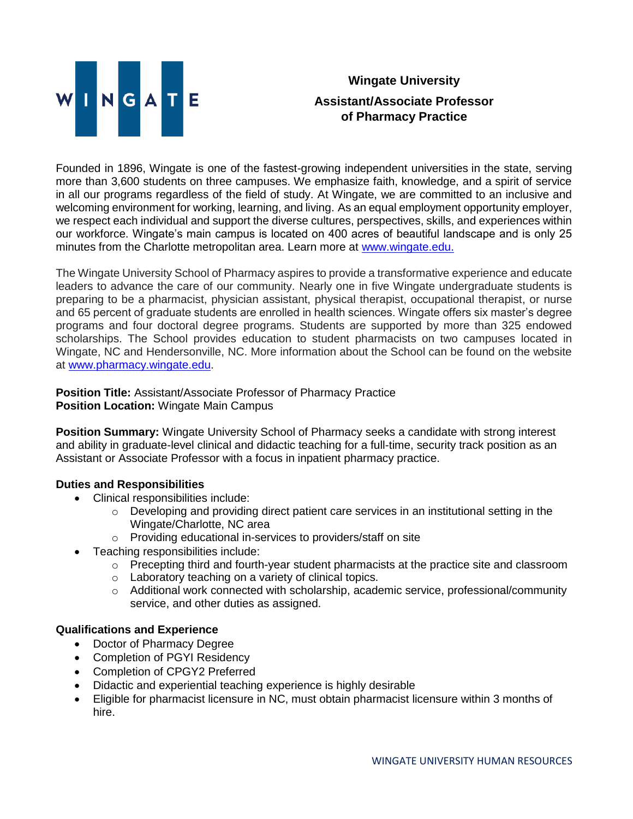

## **Wingate University Assistant/Associate Professor of Pharmacy Practice**

Founded in 1896, Wingate is one of the fastest-growing independent universities in the state, serving more than 3,600 students on three campuses. We emphasize faith, knowledge, and a spirit of service in all our programs regardless of the field of study. At Wingate, we are committed to an inclusive and welcoming environment for working, learning, and living. As an equal employment opportunity employer, we respect each individual and support the diverse cultures, perspectives, skills, and experiences within our workforce. Wingate's main campus is located on 400 acres of beautiful landscape and is only 25 minutes from the Charlotte metropolitan area. Learn more at [www.wingate.edu.](http://www.wingate/edu)

The Wingate University School of Pharmacy aspires to provide a transformative experience and educate leaders to advance the care of our community. Nearly one in five Wingate undergraduate students is preparing to be a pharmacist, physician assistant, physical therapist, occupational therapist, or nurse and 65 percent of graduate students are enrolled in health sciences. Wingate offers six master's degree programs and four doctoral degree programs. Students are supported by more than 325 endowed scholarships. The School provides education to student pharmacists on two campuses located in Wingate, NC and Hendersonville, NC. More information about the School can be found on the website at [www.pharmacy.wingate.edu.](http://www.pharmacy.wingate.edu/)

**Position Title:** Assistant/Associate Professor of Pharmacy Practice **Position Location:** Wingate Main Campus

**Position Summary:** Wingate University School of Pharmacy seeks a candidate with strong interest and ability in graduate-level clinical and didactic teaching for a full-time, security track position as an Assistant or Associate Professor with a focus in inpatient pharmacy practice.

## **Duties and Responsibilities**

- Clinical responsibilities include:
	- o Developing and providing direct patient care services in an institutional setting in the Wingate/Charlotte, NC area
	- o Providing educational in-services to providers/staff on site
- Teaching responsibilities include:
	- $\circ$  Precepting third and fourth-year student pharmacists at the practice site and classroom
	- o Laboratory teaching on a variety of clinical topics.
	- $\circ$  Additional work connected with scholarship, academic service, professional/community service, and other duties as assigned.

## **Qualifications and Experience**

- Doctor of Pharmacy Degree
- Completion of PGYI Residency
- Completion of CPGY2 Preferred
- Didactic and experiential teaching experience is highly desirable
- Eligible for pharmacist licensure in NC, must obtain pharmacist licensure within 3 months of hire.